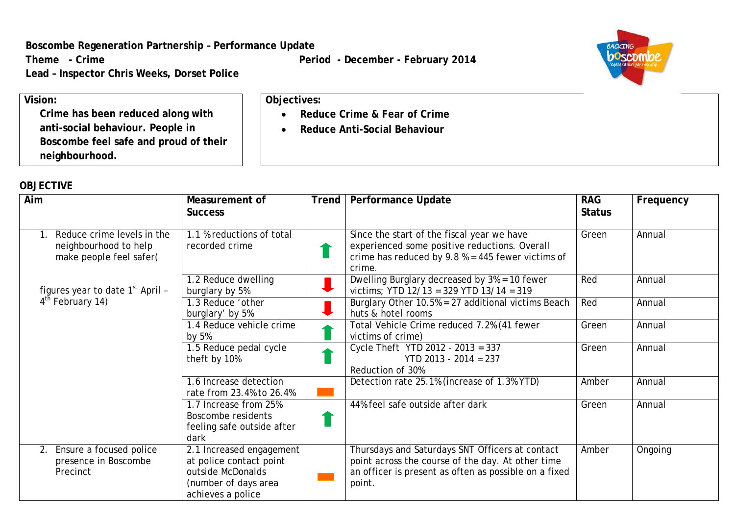**Boscombe Regeneration Partnership – Performance Update**

Theme - Crime **Period -** December - **February 2014** 

**Lead – Inspector Chris Weeks, Dorset Police**

• **Reduce Crime & Fear of Crime** • **Reduce Anti-Social Behaviour**

**Objectives:**



**Vision: Crime has been reduced along with anti-social behaviour. People in Boscombe feel safe and proud of their neighbourhood.**

## **OBJECTIVE**

| Aim                                                                            | Measurement of<br><b>Success</b>                                                                                      | <b>Trend</b> | <b>Performance Update</b>                                                                                                                                               | <b>RAG</b><br><b>Status</b> | Frequency |
|--------------------------------------------------------------------------------|-----------------------------------------------------------------------------------------------------------------------|--------------|-------------------------------------------------------------------------------------------------------------------------------------------------------------------------|-----------------------------|-----------|
| Reduce crime levels in the<br>neighbourhood to help<br>make people feel safer( | 1.1 % reductions of total<br>recorded crime                                                                           |              | Since the start of the fiscal year we have<br>experienced some positive reductions. Overall<br>crime has reduced by $9.8 % = 445$ fewer victims of<br>crime.            | Green                       | Annual    |
| figures year to date 1 <sup>st</sup> April -                                   | 1.2 Reduce dwelling<br>burglary by 5%                                                                                 |              | Dwelling Burglary decreased by 3% = 10 fewer<br>victims; YTD 12/13 = 329 YTD 13/14 = 319                                                                                | Red                         | Annual    |
| 4 <sup>th</sup> February 14)                                                   | 1.3 Reduce 'other<br>burglary' by 5%                                                                                  |              | Burglary Other 10.5% = 27 additional victims Beach<br>huts & hotel rooms                                                                                                | Red                         | Annual    |
|                                                                                | 1.4 Reduce vehicle crime<br>by 5%                                                                                     |              | Total Vehicle Crime reduced 7.2% (41 fewer<br>victims of crime)                                                                                                         | Green                       | Annual    |
|                                                                                | 1.5 Reduce pedal cycle<br>theft by 10%                                                                                |              | Cycle Theft YTD 2012 - 2013 = 337<br>$YTD$ 2013 - 2014 = 237<br>Reduction of 30%                                                                                        | Green                       | Annual    |
|                                                                                | 1.6 Increase detection<br>rate from 23.4% to 26.4%                                                                    |              | Detection rate 25.1% (increase of 1.3% YTD)                                                                                                                             | Amber                       | Annual    |
|                                                                                | 1.7 Increase from 25%<br>Boscombe residents<br>feeling safe outside after<br>dark                                     |              | 44% feel safe outside after dark                                                                                                                                        | Green                       | Annual    |
| Ensure a focused police<br>$2_{\odot}$<br>presence in Boscombe<br>Precinct     | 2.1 Increased engagement<br>at police contact point<br>outside McDonalds<br>(number of days area<br>achieves a police |              | Thursdays and Saturdays SNT Officers at contact<br>point across the course of the day. At other time<br>an officer is present as often as possible on a fixed<br>point. | Amber                       | Ongoing   |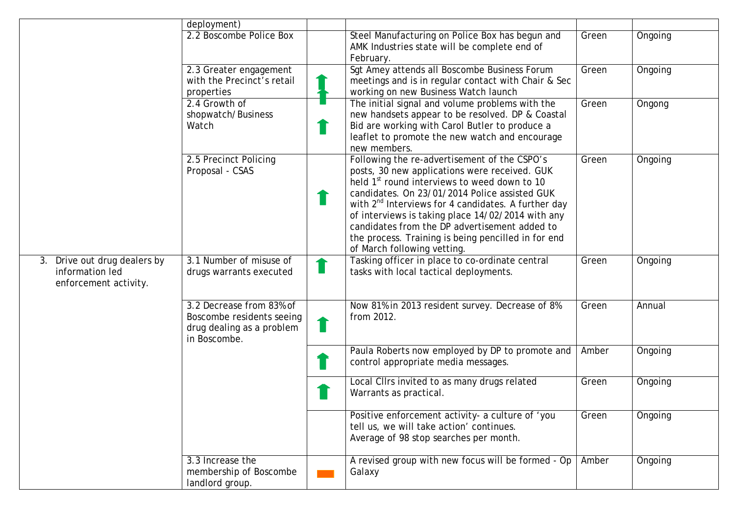|                                                                             | deployment)                                                                                        |                                                                                                                                                                                                                                                                                                                                                                                                                                                                    |       |         |
|-----------------------------------------------------------------------------|----------------------------------------------------------------------------------------------------|--------------------------------------------------------------------------------------------------------------------------------------------------------------------------------------------------------------------------------------------------------------------------------------------------------------------------------------------------------------------------------------------------------------------------------------------------------------------|-------|---------|
|                                                                             | 2.2 Boscombe Police Box                                                                            | Steel Manufacturing on Police Box has begun and<br>AMK Industries state will be complete end of<br>February.                                                                                                                                                                                                                                                                                                                                                       | Green | Ongoing |
|                                                                             | 2.3 Greater engagement<br>with the Precinct's retail<br>properties                                 | Sgt Amey attends all Boscombe Business Forum<br>meetings and is in regular contact with Chair & Sec<br>working on new Business Watch launch                                                                                                                                                                                                                                                                                                                        | Green | Ongoing |
|                                                                             | 2.4 Growth of<br>shopwatch/Business<br>Watch                                                       | The initial signal and volume problems with the<br>new handsets appear to be resolved. DP & Coastal<br>Bid are working with Carol Butler to produce a<br>leaflet to promote the new watch and encourage<br>new members.                                                                                                                                                                                                                                            | Green | Ongong  |
|                                                                             | 2.5 Precinct Policing<br>Proposal - CSAS                                                           | Following the re-advertisement of the CSPO's<br>posts, 30 new applications were received. GUK<br>held 1 <sup>st</sup> round interviews to weed down to 10<br>candidates. On 23/01/2014 Police assisted GUK<br>with $2^{nd}$ Interviews for 4 candidates. A further day<br>of interviews is taking place 14/02/2014 with any<br>candidates from the DP advertisement added to<br>the process. Training is being pencilled in for end<br>of March following vetting. | Green | Ongoing |
| Drive out drug dealers by<br>3.<br>information led<br>enforcement activity. | 3.1 Number of misuse of<br>drugs warrants executed                                                 | Tasking officer in place to co-ordinate central<br>tasks with local tactical deployments.                                                                                                                                                                                                                                                                                                                                                                          | Green | Ongoing |
|                                                                             | 3.2 Decrease from 83% of<br>Boscombe residents seeing<br>drug dealing as a problem<br>in Boscombe. | Now 81% in 2013 resident survey. Decrease of 8%<br>from 2012.                                                                                                                                                                                                                                                                                                                                                                                                      | Green | Annual  |
|                                                                             |                                                                                                    | Paula Roberts now employed by DP to promote and<br>control appropriate media messages.                                                                                                                                                                                                                                                                                                                                                                             | Amber | Ongoing |
|                                                                             |                                                                                                    | Local Cllrs invited to as many drugs related<br>Warrants as practical.                                                                                                                                                                                                                                                                                                                                                                                             | Green | Ongoing |
|                                                                             |                                                                                                    | Positive enforcement activity- a culture of 'you<br>tell us, we will take action' continues.<br>Average of 98 stop searches per month.                                                                                                                                                                                                                                                                                                                             | Green | Ongoing |
|                                                                             | 3.3 Increase the<br>membership of Boscombe<br>landlord group.                                      | A revised group with new focus will be formed - Op<br>Galaxy                                                                                                                                                                                                                                                                                                                                                                                                       | Amber | Ongoing |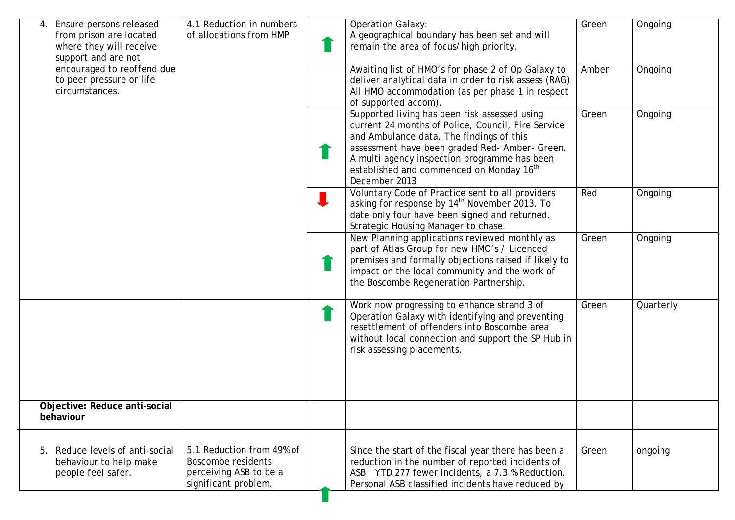| Ensure persons released<br>4.<br>from prison are located<br>where they will receive<br>support and are not | 4.1 Reduction in numbers<br>of allocations from HMP                                               | <b>Operation Galaxy:</b><br>A geographical boundary has been set and will<br>remain the area of focus/high priority.                                                                                                                                                                                                       | Green | Ongoing   |
|------------------------------------------------------------------------------------------------------------|---------------------------------------------------------------------------------------------------|----------------------------------------------------------------------------------------------------------------------------------------------------------------------------------------------------------------------------------------------------------------------------------------------------------------------------|-------|-----------|
| encouraged to reoffend due<br>to peer pressure or life<br>circumstances.                                   |                                                                                                   | Awaiting list of HMO's for phase 2 of Op Galaxy to<br>deliver analytical data in order to risk assess (RAG)<br>All HMO accommodation (as per phase 1 in respect<br>of supported accom).                                                                                                                                    | Amber | Ongoing   |
|                                                                                                            |                                                                                                   | Supported living has been risk assessed using<br>current 24 months of Police, Council, Fire Service<br>and Ambulance data. The findings of this<br>assessment have been graded Red- Amber- Green.<br>A multi agency inspection programme has been<br>established and commenced on Monday 16 <sup>th</sup><br>December 2013 | Green | Ongoing   |
|                                                                                                            |                                                                                                   | Voluntary Code of Practice sent to all providers<br>asking for response by 14 <sup>th</sup> November 2013. To<br>date only four have been signed and returned.<br>Strategic Housing Manager to chase.                                                                                                                      | Red   | Ongoing   |
|                                                                                                            |                                                                                                   | New Planning applications reviewed monthly as<br>part of Atlas Group for new HMO's / Licenced<br>premises and formally objections raised if likely to<br>impact on the local community and the work of<br>the Boscombe Regeneration Partnership.                                                                           | Green | Ongoing   |
|                                                                                                            |                                                                                                   | Work now progressing to enhance strand 3 of<br>Operation Galaxy with identifying and preventing<br>resettlement of offenders into Boscombe area<br>without local connection and support the SP Hub in<br>risk assessing placements.                                                                                        | Green | Quarterly |
| Objective: Reduce anti-social<br>behaviour                                                                 |                                                                                                   |                                                                                                                                                                                                                                                                                                                            |       |           |
| 5. Reduce levels of anti-social<br>behaviour to help make<br>people feel safer.                            | 5.1 Reduction from 49% of<br>Boscombe residents<br>perceiving ASB to be a<br>significant problem. | Since the start of the fiscal year there has been a<br>reduction in the number of reported incidents of<br>ASB. YTD 277 fewer incidents, a 7.3 % Reduction.<br>Personal ASB classified incidents have reduced by                                                                                                           | Green | ongoing   |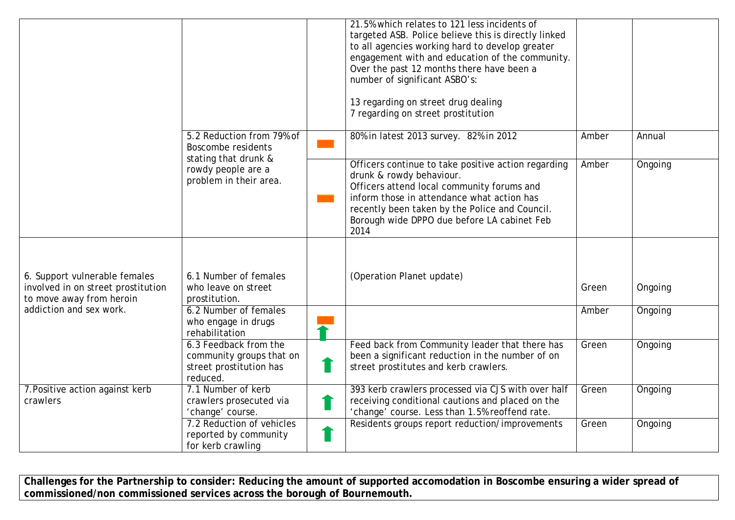|                                                                                                 |                                                                                          | 21.5% which relates to 121 less incidents of<br>targeted ASB. Police believe this is directly linked<br>to all agencies working hard to develop greater<br>engagement with and education of the community.<br>Over the past 12 months there have been a<br>number of significant ASBO's:<br>13 regarding on street drug dealing<br>7 regarding on street prostitution |       |         |
|-------------------------------------------------------------------------------------------------|------------------------------------------------------------------------------------------|-----------------------------------------------------------------------------------------------------------------------------------------------------------------------------------------------------------------------------------------------------------------------------------------------------------------------------------------------------------------------|-------|---------|
|                                                                                                 | 5.2 Reduction from 79% of<br><b>Boscombe residents</b>                                   | 80% in latest 2013 survey. 82% in 2012                                                                                                                                                                                                                                                                                                                                | Amber | Annual  |
| stating that drunk &<br>rowdy people are a<br>problem in their area.                            |                                                                                          | Officers continue to take positive action regarding<br>drunk & rowdy behaviour.<br>Officers attend local community forums and<br>inform those in attendance what action has<br>recently been taken by the Police and Council.<br>Borough wide DPPO due before LA cabinet Feb<br>2014                                                                                  | Amber | Ongoing |
| 6. Support vulnerable females<br>involved in on street prostitution<br>to move away from heroin | 6.1 Number of females<br>who leave on street<br>prostitution.                            | (Operation Planet update)                                                                                                                                                                                                                                                                                                                                             | Green | Ongoing |
| addiction and sex work.                                                                         | 6.2 Number of females<br>who engage in drugs<br>rehabilitation                           |                                                                                                                                                                                                                                                                                                                                                                       | Amber | Ongoing |
|                                                                                                 | 6.3 Feedback from the<br>community groups that on<br>street prostitution has<br>reduced. | Feed back from Community leader that there has<br>been a significant reduction in the number of on<br>street prostitutes and kerb crawlers.                                                                                                                                                                                                                           | Green | Ongoing |
| 7. Positive action against kerb<br>crawlers                                                     | 7.1 Number of kerb<br>crawlers prosecuted via<br>'change' course.                        | 393 kerb crawlers processed via CJS with over half<br>receiving conditional cautions and placed on the<br>'change' course. Less than 1.5% reoffend rate.                                                                                                                                                                                                              | Green | Ongoing |
|                                                                                                 | 7.2 Reduction of vehicles<br>reported by community<br>for kerb crawling                  | Residents groups report reduction/improvements                                                                                                                                                                                                                                                                                                                        | Green | Ongoing |

**Challenges for the Partnership to consider: Reducing the amount of supported accomodation in Boscombe ensuring a wider spread of commissioned/non commissioned services across the borough of Bournemouth.**